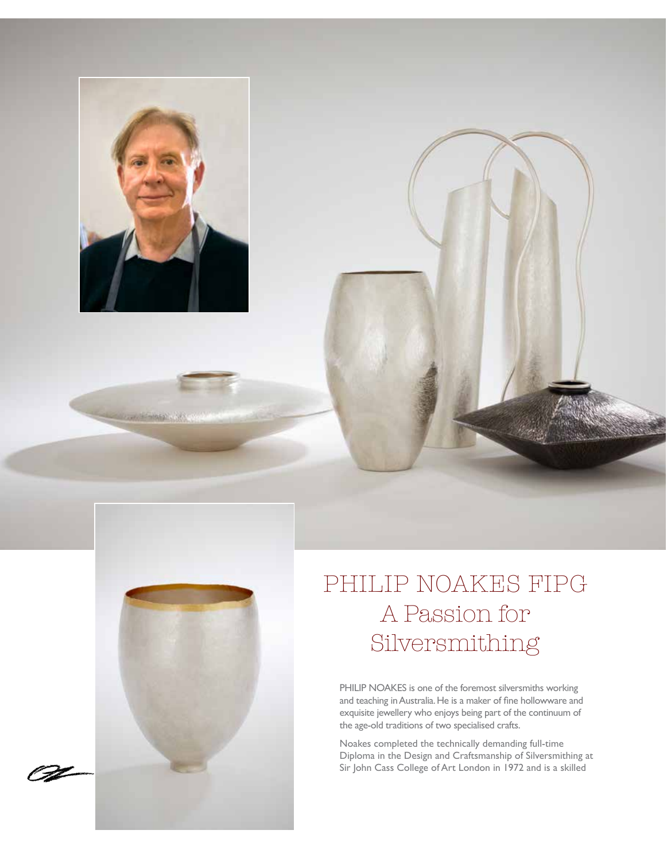

**Colorado de Santo Viviso** 



# PHILIP NOAKES FIPG A Passion for Silversmithing

PHILIP NOAKES is one of the foremost silversmiths working and teaching in Australia. He is a maker of fine hollowware and exquisite jewellery who enjoys being part of the continuum of the age-old traditions of two specialised crafts.

Noakes completed the technically demanding full-time Diploma in the Design and Craftsmanship of Silversmithing at Sir John Cass College of Art London in 1972 and is a skilled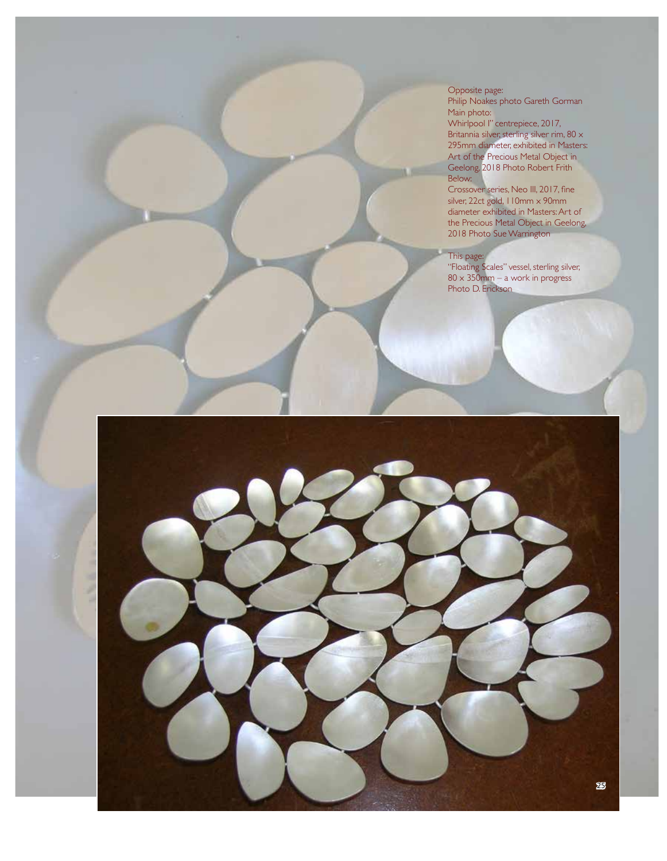Opposite page: Philip Noakes photo Gareth Gorman Main photo: Whirlpool I" centrepiece, 2017, Britannia silver, sterling silver rim, 80  $\times$ 295mm diameter, exhibited in Masters: Art of the Precious Metal Object in Geelong, 2018 Photo Robert Frith Below:

Crossover series, Neo III, 2017, fine silver, 22ct gold, 110mm x 90mm diameter exhibited in Masters: Art of the Precious Metal Object in Geelong, 2018 Photo Sue Warrington

#### This page:

"Floating Scales" vessel, sterling silver, 80 x 350mm – a work in progress Photo D. Erickson

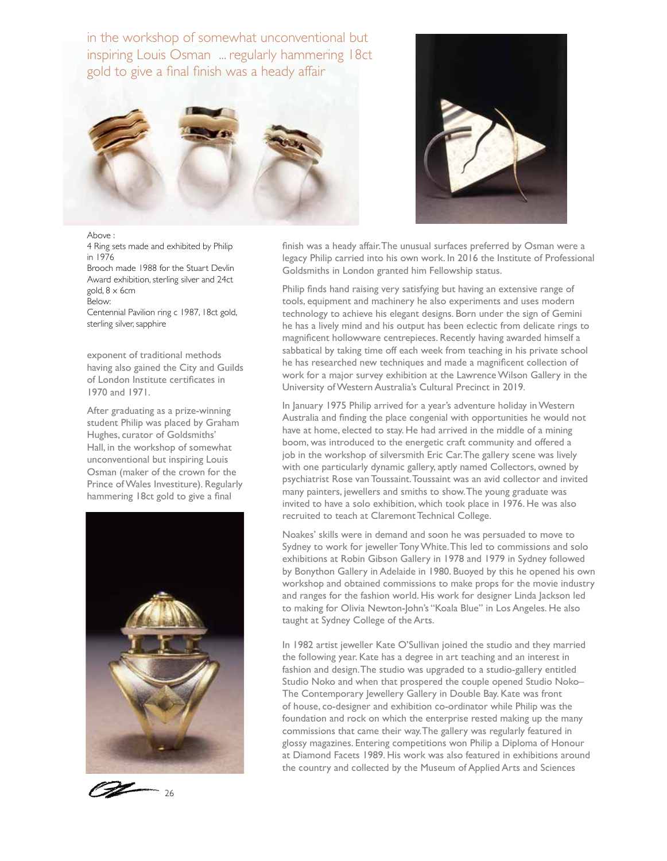in the workshop of somewhat unconventional but inspiring Louis Osman ... regularly hammering 18ct gold to give a final finish was a heady affair





Above : 4 Ring sets made and exhibited by Philip in 1976 Brooch made 1988 for the Stuart Devlin Award exhibition, sterling silver and 24ct gold, 8 x 6cm Below: Centennial Pavilion ring c 1987, 18ct gold,

sterling silver, sapphire

exponent of traditional methods having also gained the City and Guilds of London Institute certificates in 1970 and 1971.

After graduating as a prize-winning student Philip was placed by Graham Hughes, curator of Goldsmiths' Hall, in the workshop of somewhat unconventional but inspiring Louis Osman (maker of the crown for the Prince of Wales Investiture). Regularly hammering 18ct gold to give a final





finish was a heady affair. The unusual surfaces preferred by Osman were a legacy Philip carried into his own work. In 2016 the Institute of Professional Goldsmiths in London granted him Fellowship status.

Philip finds hand raising very satisfying but having an extensive range of tools, equipment and machinery he also experiments and uses modern technology to achieve his elegant designs. Born under the sign of Gemini he has a lively mind and his output has been eclectic from delicate rings to magnificent hollowware centrepieces. Recently having awarded himself a sabbatical by taking time off each week from teaching in his private school he has researched new techniques and made a magnificent collection of work for a major survey exhibition at the Lawrence Wilson Gallery in the University of Western Australia's Cultural Precinct in 2019.

In January 1975 Philip arrived for a year's adventure holiday in Western Australia and finding the place congenial with opportunities he would not have at home, elected to stay. He had arrived in the middle of a mining boom, was introduced to the energetic craft community and offered a job in the workshop of silversmith Eric Car. The gallery scene was lively with one particularly dynamic gallery, aptly named Collectors, owned by psychiatrist Rose van Toussaint. Toussaint was an avid collector and invited many painters, jewellers and smiths to show. The young graduate was invited to have a solo exhibition, which took place in 1976. He was also recruited to teach at Claremont Technical College.

Noakes' skills were in demand and soon he was persuaded to move to Sydney to work for jeweller Tony White. This led to commissions and solo exhibitions at Robin Gibson Gallery in 1978 and 1979 in Sydney followed by Bonython Gallery in Adelaide in 1980. Buoyed by this he opened his own workshop and obtained commissions to make props for the movie industry and ranges for the fashion world. His work for designer Linda Jackson led to making for Olivia Newton-John's "Koala Blue" in Los Angeles. He also taught at Sydney College of the Arts.

In 1982 artist jeweller Kate O'Sullivan joined the studio and they married the following year. Kate has a degree in art teaching and an interest in fashion and design. The studio was upgraded to a studio-gallery entitled Studio Noko and when that prospered the couple opened Studio Noko– The Contemporary Jewellery Gallery in Double Bay. Kate was front of house, co-designer and exhibition co-ordinator while Philip was the foundation and rock on which the enterprise rested making up the many commissions that came their way. The gallery was regularly featured in glossy magazines. Entering competitions won Philip a Diploma of Honour at Diamond Facets 1989. His work was also featured in exhibitions around the country and collected by the Museum of Applied Arts and Sciences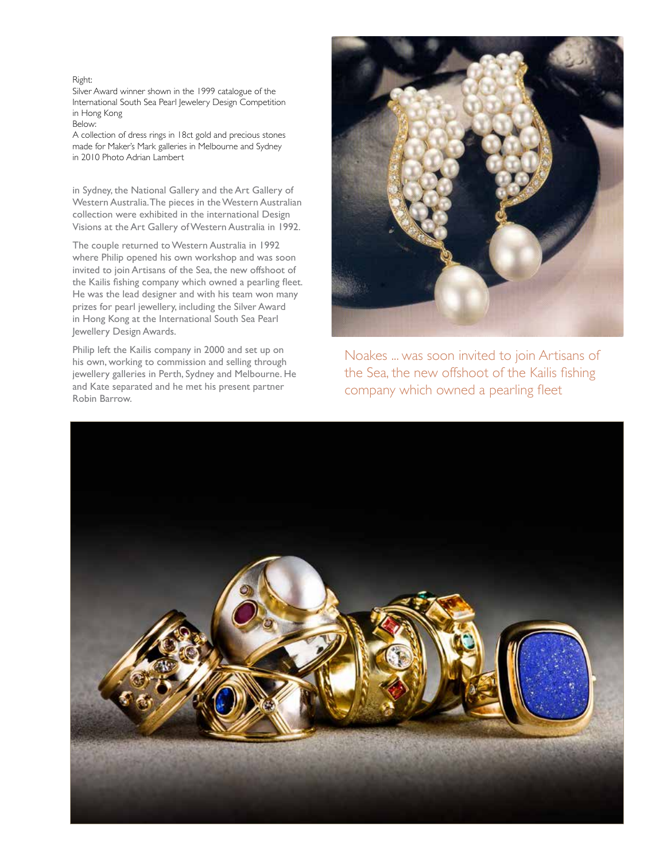#### Right:

Silver Award winner shown in the 1999 catalogue of the International South Sea Pearl Jewelery Design Competition in Hong Kong

### Below:

A collection of dress rings in 18ct gold and precious stones made for Maker's Mark galleries in Melbourne and Sydney in 2010 Photo Adrian Lambert

in Sydney, the National Gallery and the Art Gallery of Western Australia. The pieces in the Western Australian collection were exhibited in the international Design Visions at the Art Gallery of Western Australia in 1992.

The couple returned to Western Australia in 1992 where Philip opened his own workshop and was soon invited to join Artisans of the Sea, the new offshoot of the Kailis fishing company which owned a pearling fleet. He was the lead designer and with his team won many prizes for pearl jewellery, including the Silver Award in Hong Kong at the International South Sea Pearl Jewellery Design Awards.

Philip left the Kailis company in 2000 and set up on his own, working to commission and selling through jewellery galleries in Perth, Sydney and Melbourne. He and Kate separated and he met his present partner Robin Barrow.



Noakes ... was soon invited to join Artisans of the Sea, the new offshoot of the Kailis fishing company which owned a pearling fleet

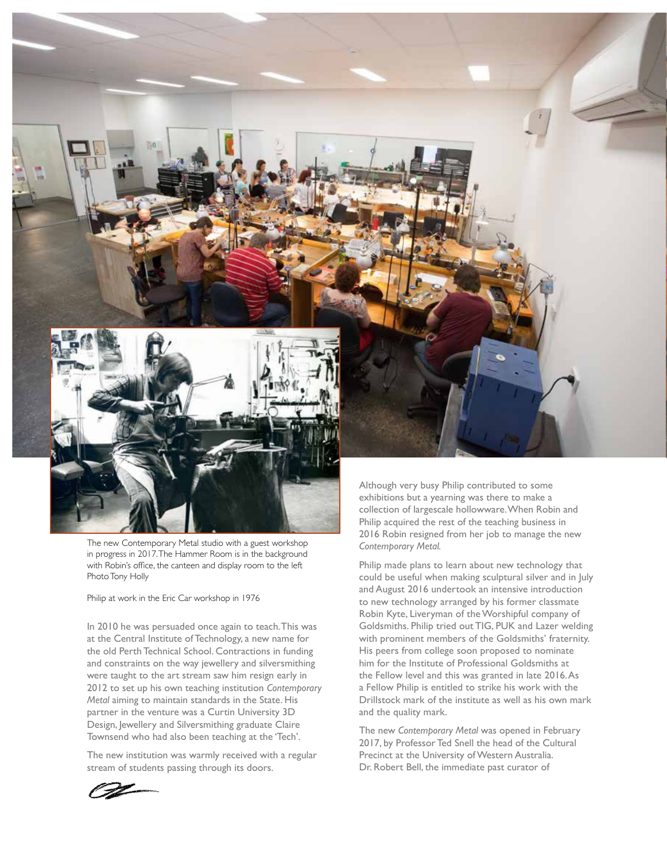

The new Contemporary Metal studio with a guest workshop in progress in 2017. The Hammer Room is in the background with Robin's office, the canteen and display room to the left Photo Tony Holly

#### Philip at work in the Eric Car workshop in 1976

In 2010 he was persuaded once again to teach. This was at the Central Institute of Technology, a new name for the old Perth Technical School. Contractions in funding and constraints on the way jewellery and silversmithing were taught to the art stream saw him resign early in 2012 to set up his own teaching institution *Contemporary Metal* aiming to maintain standards in the State. His partner in the venture was a Curtin University 3D Design, Jewellery and Silversmithing graduate Claire Townsend who had also been teaching at the 'Tech'.

The new institution was warmly received with a regular stream of students passing through its doors.

Although very busy Philip contributed to some exhibitions but a yearning was there to make a collection of largescale hollowware. When Robin and Philip acquired the rest of the teaching business in 2016 Robin resigned from her job to manage the new *Contemporary Metal.* 

Philip made plans to learn about new technology that could be useful when making sculptural silver and in July and August 2016 undertook an intensive introduction to new technology arranged by his former classmate Robin Kyte, Liveryman of the Worshipful company of Goldsmiths. Philip tried out TIG, PUK and Lazer welding with prominent members of the Goldsmiths' fraternity. His peers from college soon proposed to nominate him for the Institute of Professional Goldsmiths at the Fellow level and this was granted in late 2016. As a Fellow Philip is entitled to strike his work with the Drillstock mark of the institute as well as his own mark and the quality mark.

The new *Contemporary Metal* was opened in February 2017, by Professor Ted Snell the head of the Cultural Precinct at the University of Western Australia. Dr. Robert Bell, the immediate past curator of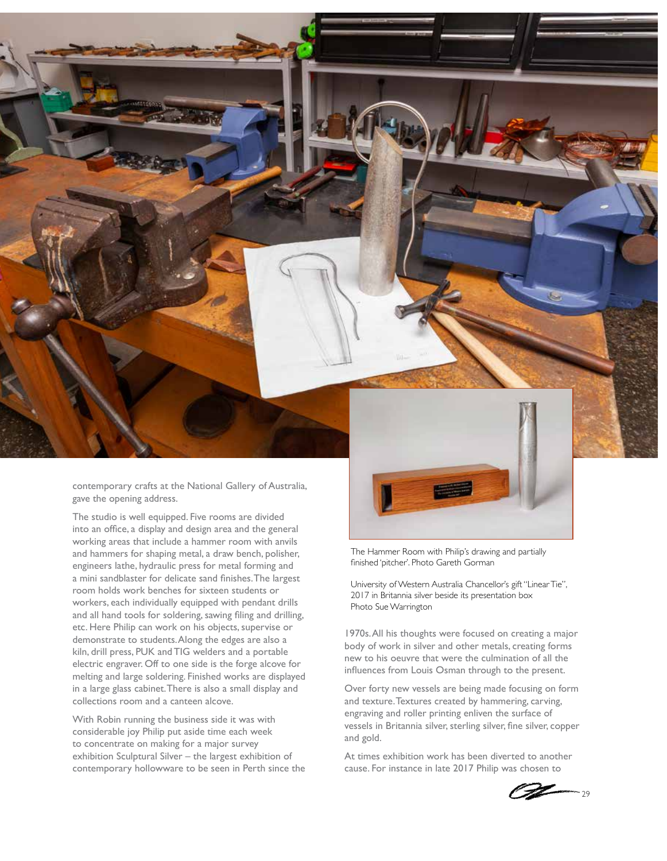

contemporary crafts at the National Gallery of Australia, gave the opening address.

The studio is well equipped. Five rooms are divided into an office, a display and design area and the general working areas that include a hammer room with anvils and hammers for shaping metal, a draw bench, polisher, engineers lathe, hydraulic press for metal forming and a mini sandblaster for delicate sand finishes. The largest room holds work benches for sixteen students or workers, each individually equipped with pendant drills and all hand tools for soldering, sawing filing and drilling, etc. Here Philip can work on his objects, supervise or demonstrate to students. Along the edges are also a kiln, drill press, PUK and TIG welders and a portable electric engraver. Off to one side is the forge alcove for melting and large soldering. Finished works are displayed in a large glass cabinet. There is also a small display and collections room and a canteen alcove.

With Robin running the business side it was with considerable joy Philip put aside time each week to concentrate on making for a major survey exhibition Sculptural Silver – the largest exhibition of contemporary hollowware to be seen in Perth since the



The Hammer Room with Philip's drawing and partially finished 'pitcher'. Photo Gareth Gorman

University of Western Australia Chancellor's gift "Linear Tie", 2017 in Britannia silver beside its presentation box Photo Sue Warrington

1970s. All his thoughts were focused on creating a major body of work in silver and other metals, creating forms new to his oeuvre that were the culmination of all the influences from Louis Osman through to the present.

Over forty new vessels are being made focusing on form and texture. Textures created by hammering, carving, engraving and roller printing enliven the surface of vessels in Britannia silver, sterling silver, fine silver, copper and gold.

At times exhibition work has been diverted to another cause. For instance in late 2017 Philip was chosen to

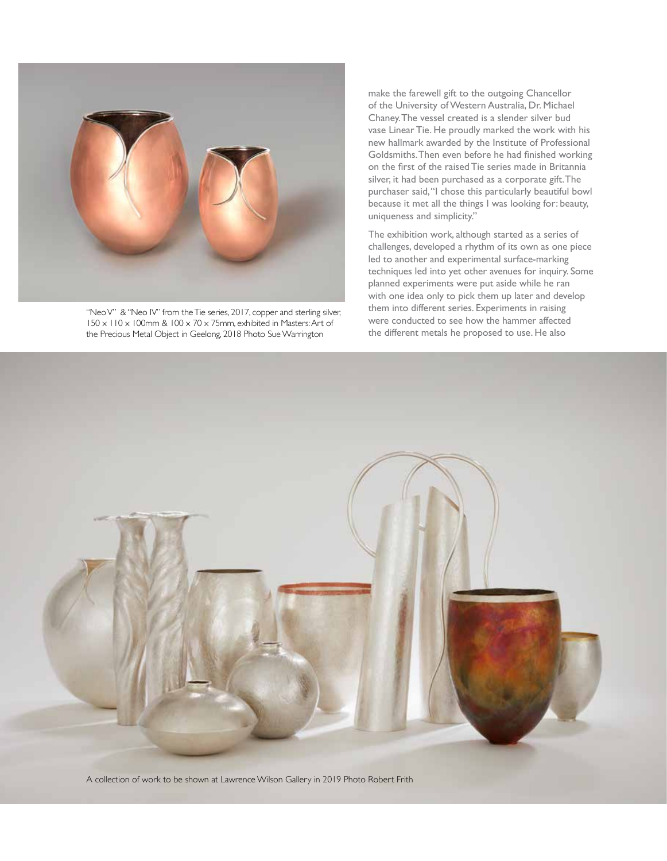

"Neo V" & "Neo IV" from the Tie series, 2017, copper and sterling silver, 150 x 110 x 100mm & 100 x 70 x 75mm, exhibited in Masters: Art of the Precious Metal Object in Geelong, 2018 Photo Sue Warrington

make the farewell gift to the outgoing Chancellor of the University of Western Australia, Dr. Michael Chaney. The vessel created is a slender silver bud vase Linear Tie. He proudly marked the work with his new hallmark awarded by the Institute of Professional Goldsmiths. Then even before he had finished working on the first of the raised Tie series made in Britannia silver, it had been purchased as a corporate gift. The purchaser said, "I chose this particularly beautiful bowl because it met all the things I was looking for: beauty, uniqueness and simplicity."

The exhibition work, although started as a series of challenges, developed a rhythm of its own as one piece led to another and experimental surface-marking techniques led into yet other avenues for inquiry. Some planned experiments were put aside while he ran with one idea only to pick them up later and develop them into different series. Experiments in raising were conducted to see how the hammer affected the different metals he proposed to use. He also



A collection of work to be shown at Lawrence Wilson Gallery in 2019 Photo Robert Frith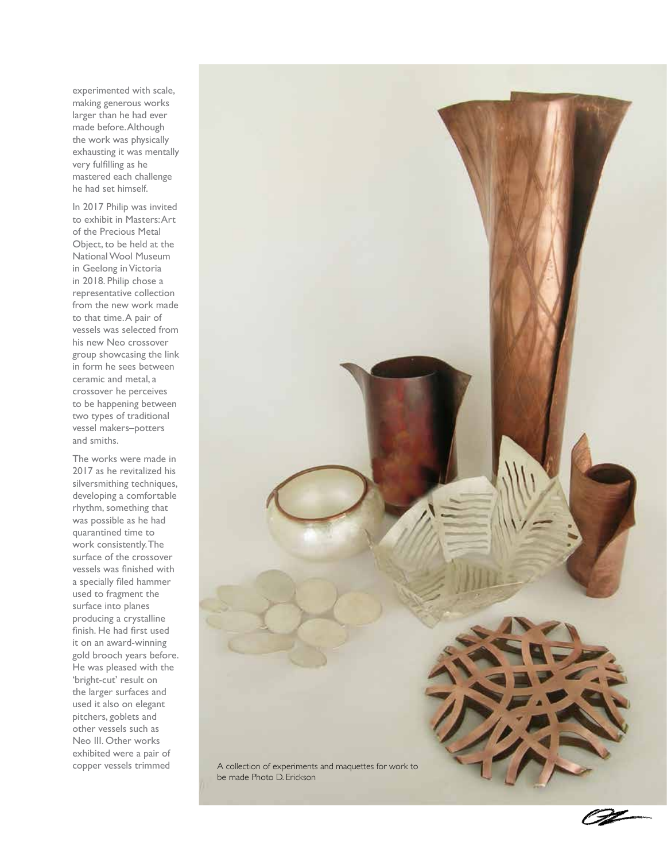experimented with scale, making generous works larger than he had ever made before. Although the work was physically exhausting it was mentally very fulfilling as he mastered each challenge he had set himself.

In 2017 Philip was invited to exhibit in Masters: Art of the Precious Metal Object, to be held at the National Wool Museum in Geelong in Victoria in 2018. Philip chose a representative collection from the new work made to that time. A pair of vessels was selected from his new Neo crossover group showcasing the link in form he sees between ceramic and metal, a crossover he perceives to be happening between two types of traditional vessel makers–potters and smiths.

The works were made in 2017 as he revitalized his silversmithing techniques, developing a comfortable rhythm, something that was possible as he had quarantined time to work consistently. The surface of the crossover vessels was finished with a specially filed hammer used to fragment the surface into planes producing a crystalline finish. He had first used it on an award-winning gold brooch years before. He was pleased with the 'bright-cut' result on the larger surfaces and used it also on elegant pitchers, goblets and other vessels such as Neo III. Other works exhibited were a pair of

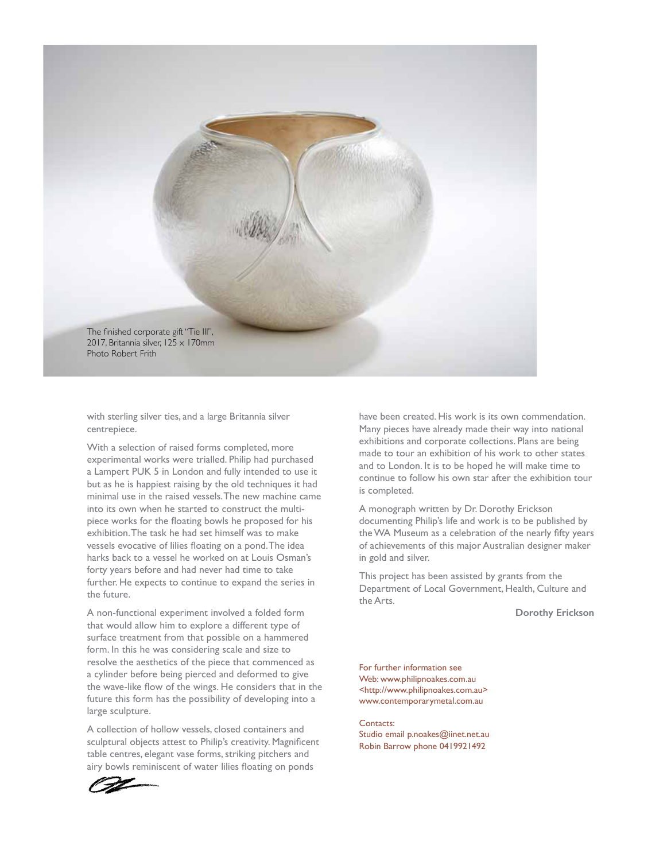

with sterling silver ties, and a large Britannia silver centrepiece.

With a selection of raised forms completed, more experimental works were trialled. Philip had purchased a Lampert PUK 5 in London and fully intended to use it but as he is happiest raising by the old techniques it had minimal use in the raised vessels. The new machine came into its own when he started to construct the multipiece works for the floating bowls he proposed for his exhibition. The task he had set himself was to make vessels evocative of lilies floating on a pond. The idea harks back to a vessel he worked on at Louis Osman's forty years before and had never had time to take further. He expects to continue to expand the series in the future.

A non-functional experiment involved a folded form that would allow him to explore a different type of surface treatment from that possible on a hammered form. In this he was considering scale and size to resolve the aesthetics of the piece that commenced as a cylinder before being pierced and deformed to give the wave-like flow of the wings. He considers that in the future this form has the possibility of developing into a large sculpture.

A collection of hollow vessels, closed containers and sculptural objects attest to Philip's creativity. Magnificent table centres, elegant vase forms, striking pitchers and airy bowls reminiscent of water lilies floating on ponds

have been created. His work is its own commendation. Many pieces have already made their way into national exhibitions and corporate collections. Plans are being made to tour an exhibition of his work to other states and to London. It is to be hoped he will make time to continue to follow his own star after the exhibition tour is completed.

A monograph written by Dr. Dorothy Erickson documenting Philip's life and work is to be published by the WA Museum as a celebration of the nearly fifty years of achievements of this major Australian designer maker in gold and silver.

This project has been assisted by grants from the Department of Local Government, Health, Culture and the Arts.

**Dorothy Erickson**

For further information see Web: www.philipnoakes.com.au <http://www.philipnoakes.com.au> www.contemporarymetal.com.au

## Contacts:

Studio email p.noakes@iinet.net.au Robin Barrow phone 0419921492